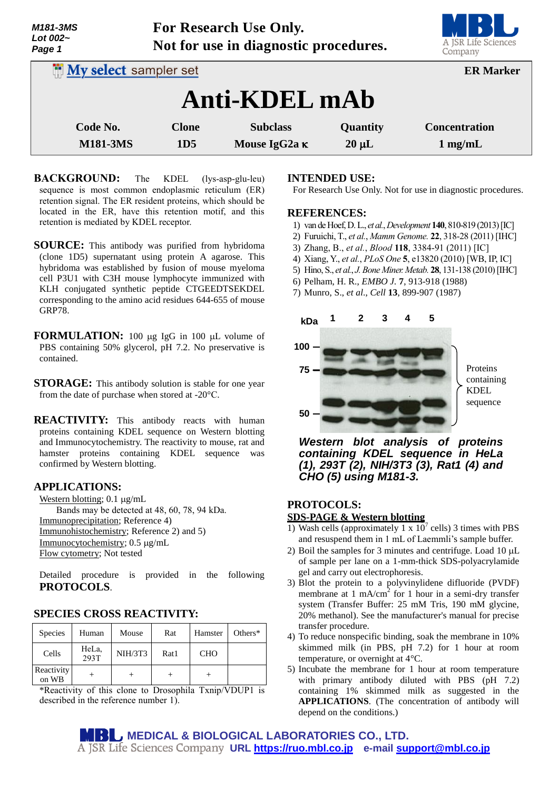| Lot $002-$                   | $0 - 2 - 0$                           |                 |            |                      |  |  |  |
|------------------------------|---------------------------------------|-----------------|------------|----------------------|--|--|--|
| Page 1                       | Not for use in diagnostic procedures. |                 |            |                      |  |  |  |
| <b>My select sampler set</b> |                                       |                 |            | <b>ER Marker</b>     |  |  |  |
| Anti-KDEL mAb                |                                       |                 |            |                      |  |  |  |
| Code No.                     | <b>Clone</b>                          | <b>Subclass</b> | Quantity   | <b>Concentration</b> |  |  |  |
| <b>M181-3MS</b>              | 1D <sub>5</sub>                       | Mouse IgG2a K   | $20 \mu L$ | $1 \text{ mg/mL}$    |  |  |  |

**For Research Use Only.**

- **BACKGROUND:** The KDEL (lys-asp-glu-leu) sequence is most common endoplasmic reticulum (ER) retention signal. The ER resident proteins, which should be located in the ER, have this retention motif, and this retention is mediated by KDEL receptor.
- **SOURCE:** This antibody was purified from hybridoma (clone 1D5) supernatant using protein A agarose. This hybridoma was established by fusion of mouse myeloma cell P3U1 with C3H mouse lymphocyte immunized with KLH conjugated synthetic peptide CTGEEDTSEKDEL corresponding to the amino acid residues 644-655 of mouse GRP78.
- **FORMULATION:** 100 µg IgG in 100 µL volume of PBS containing 50% glycerol, pH 7.2. No preservative is contained.
- **STORAGE:** This antibody solution is stable for one year from the date of purchase when stored at -20°C.
- **REACTIVITY:** This antibody reacts with human proteins containing KDEL sequence on Western blotting and Immunocytochemistry. The reactivity to mouse, rat and hamster proteins containing KDEL sequence was confirmed by Western blotting.

### **APPLICATIONS:**

*M181-3MS*

Western blotting;  $0.1 \mu g/mL$ Bands may be detected at 48, 60, 78, 94 kDa. Immunoprecipitation; Reference 4) Immunohistochemistry; Reference 2) and 5) Immunocytochemistry; 0.5 µg/mL Flow cytometry; Not tested

Detailed procedure is provided in the following **PROTOCOLS**.

## **SPECIES CROSS REACTIVITY:**

| Species             | Human         | Mouse          | Rat  | Hamster    | Others $*$ |
|---------------------|---------------|----------------|------|------------|------------|
| Cells               | HeLa,<br>293T | <b>NIH/3T3</b> | Rat1 | <b>CHO</b> |            |
| Reactivity<br>on WB |               |                |      |            |            |

\*Reactivity of this clone to Drosophila Txnip/VDUP1 is described in the reference number 1).

### **INTENDED USE:**

For Research Use Only. Not for use in diagnostic procedures.

#### **REFERENCES:**

- 1) [van de Hoef,D. L.,](http://www.ncbi.nlm.nih.gov/pubmed?term=van%20de%20Hoef%20DL%5BAuthor%5D&cauthor=true&cauthor_uid=23318643) *et al.*,*[Development](http://www.ncbi.nlm.nih.gov/pubmed/23318643)* **140**, 810-819 (2013)[IC]
- 2) [Furuichi,](http://www.ncbi.nlm.nih.gov/pubmed?term=Furuichi%20T%5BAuthor%5D&cauthor=true&cauthor_uid=21538020) T., *et al.*, *[Mamm Genome.](http://www.ncbi.nlm.nih.gov/pubmed/21538020)* **22**, 318-28 (2011) [IHC]
- 3) Zhang, B., *et al.*, *Blood* **118**, 3384-91 (2011) [IC]
- 4) Xiang, Y., *et al.*, *PLoS One* **5**, e13820 (2010) [WB, IP, IC]
- 5) Hino, S., *et al.*, *J.Bone Miner. Metab.* **28**, 131-138 (2010)[IHC]
- 6) Pelham, H. R., *EMBO J.* **7**, 913-918 (1988)
- 7) Munro, S., *et al*., *Cell* **13**, 899-907 (1987)



*Western blot analysis of proteins containing KDEL sequence in HeLa (1), 293T (2), NIH/3T3 (3), Rat1 (4) and CHO (5) using M181-3.*

#### **PROTOCOLS:**

#### **SDS-PAGE & Western blotting**

- 1) Wash cells (approximately 1 x  $10^7$  cells) 3 times with PBS and resuspend them in 1 mL of Laemmli's sample buffer.
- 2) Boil the samples for 3 minutes and centrifuge. Load  $10 \mu L$ of sample per lane on a 1-mm-thick SDS-polyacrylamide gel and carry out electrophoresis.
- 3) Blot the protein to a polyvinylidene difluoride (PVDF) membrane at  $1 \text{ mA/cm}^2$  for 1 hour in a semi-dry transfer system (Transfer Buffer: 25 mM Tris, 190 mM glycine, 20% methanol). See the manufacturer's manual for precise transfer procedure.
- 4) To reduce nonspecific binding, soak the membrane in 10% skimmed milk (in PBS, pH 7.2) for 1 hour at room temperature, or overnight at 4°C.
- 5) Incubate the membrane for 1 hour at room temperature with primary antibody diluted with PBS (pH 7.2) containing 1% skimmed milk as suggested in the **APPLICATIONS**. (The concentration of antibody will depend on the conditions.)